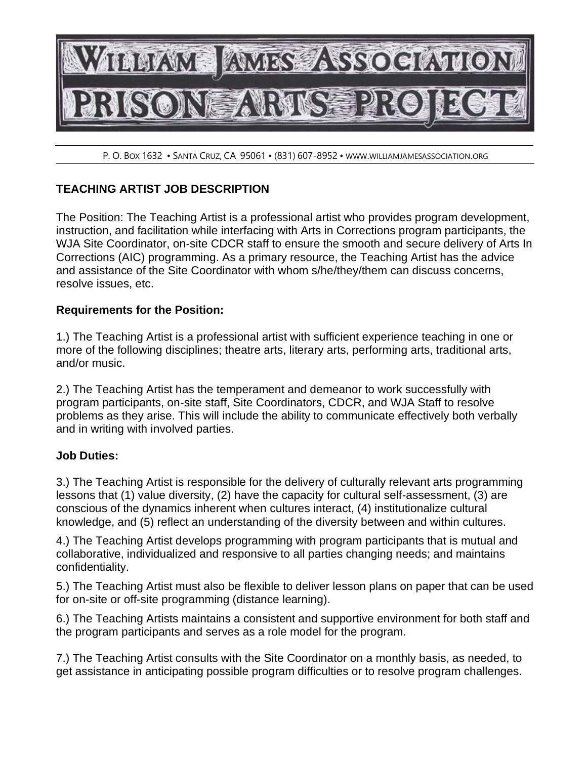

P. O. BOX 1632 • SANTA CRUZ, CA 95061 • (831) 607-8952 • WWW.WILLIAMJAMESASSOCIATION.ORG

## **TEACHING ARTIST JOB DESCRIPTION**

The Position: The Teaching Artist is a professional artist who provides program development, instruction, and facilitation while interfacing with Arts in Corrections program participants, the WJA Site Coordinator, on-site CDCR staff to ensure the smooth and secure delivery of Arts In Corrections (AIC) programming. As a primary resource, the Teaching Artist has the advice and assistance of the Site Coordinator with whom s/he/they/them can discuss concerns, resolve issues, etc.

## **Requirements for the Position:**

1.) The Teaching Artist is a professional artist with sufficient experience teaching in one or more of the following disciplines; theatre arts, literary arts, performing arts, traditional arts, and/or music.

2.) The Teaching Artist has the temperament and demeanor to work successfully with program participants, on-site staff, Site Coordinators, CDCR, and WJA Staff to resolve problems as they arise. This will include the ability to communicate effectively both verbally and in writing with involved parties.

## **Job Duties:**

3.) The Teaching Artist is responsible for the delivery of culturally relevant arts programming lessons that (1) value diversity, (2) have the capacity for cultural self-assessment, (3) are conscious of the dynamics inherent when cultures interact, (4) institutionalize cultural knowledge, and (5) reflect an understanding of the diversity between and within cultures.

4.) The Teaching Artist develops programming with program participants that is mutual and collaborative, individualized and responsive to all parties changing needs; and maintains confidentiality.

5.) The Teaching Artist must also be flexible to deliver lesson plans on paper that can be used for on-site or off-site programming (distance learning).

6.) The Teaching Artists maintains a consistent and supportive environment for both staff and the program participants and serves as a role model for the program.

7.) The Teaching Artist consults with the Site Coordinator on a monthly basis, as needed, to get assistance in anticipating possible program difficulties or to resolve program challenges.